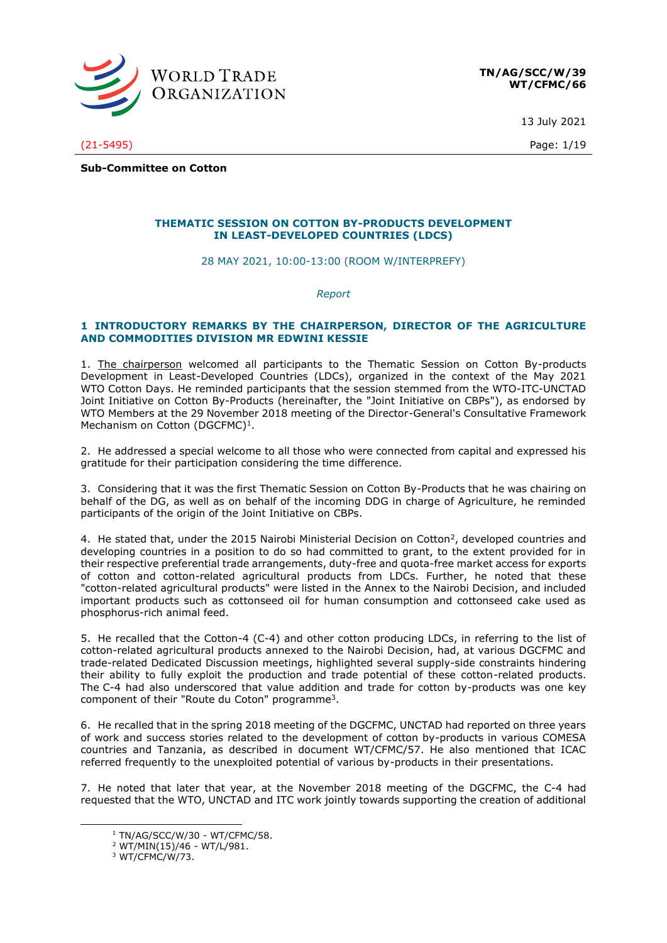

13 July 2021

(21-5495) Page: 1/19

**Sub-Committee on Cotton**

# **THEMATIC SESSION ON COTTON BY-PRODUCTS DEVELOPMENT IN LEAST-DEVELOPED COUNTRIES (LDCS)**

28 MAY 2021, 10:00-13:00 (ROOM W/INTERPREFY)

*Report*

# **1 INTRODUCTORY REMARKS BY THE CHAIRPERSON, DIRECTOR OF THE AGRICULTURE AND COMMODITIES DIVISION MR EDWINI KESSIE**

1. The chairperson welcomed all participants to the Thematic Session on Cotton By-products Development in Least-Developed Countries (LDCs), organized in the context of the May 2021 WTO Cotton Days. He reminded participants that the session stemmed from the WTO-ITC-UNCTAD Joint Initiative on Cotton By-Products (hereinafter, the "Joint Initiative on CBPs"), as endorsed by WTO Members at the 29 November 2018 meeting of the Director-General's Consultative Framework Mechanism on Cotton (DGCFMC) $<sup>1</sup>$ .</sup>

2. He addressed a special welcome to all those who were connected from capital and expressed his gratitude for their participation considering the time difference.

3. Considering that it was the first Thematic Session on Cotton By-Products that he was chairing on behalf of the DG, as well as on behalf of the incoming DDG in charge of Agriculture, he reminded participants of the origin of the Joint Initiative on CBPs.

4. He stated that, under the 2015 Nairobi Ministerial Decision on Cotton<sup>2</sup>, developed countries and developing countries in a position to do so had committed to grant, to the extent provided for in their respective preferential trade arrangements, duty-free and quota-free market access for exports of cotton and cotton-related agricultural products from LDCs. Further, he noted that these "cotton-related agricultural products" were listed in the Annex to the Nairobi Decision, and included important products such as cottonseed oil for human consumption and cottonseed cake used as phosphorus-rich animal feed.

5. He recalled that the Cotton-4 (C-4) and other cotton producing LDCs, in referring to the list of cotton-related agricultural products annexed to the Nairobi Decision, had, at various DGCFMC and trade-related Dedicated Discussion meetings, highlighted several supply-side constraints hindering their ability to fully exploit the production and trade potential of these cotton-related products. The C-4 had also underscored that value addition and trade for cotton by-products was one key component of their "Route du Coton" programme<sup>3</sup>.

6. He recalled that in the spring 2018 meeting of the DGCFMC, UNCTAD had reported on three years of work and success stories related to the development of cotton by-products in various COMESA countries and Tanzania, as described in document WT/CFMC/57. He also mentioned that ICAC referred frequently to the unexploited potential of various by-products in their presentations.

7. He noted that later that year, at the November 2018 meeting of the DGCFMC, the C-4 had requested that the WTO, UNCTAD and ITC work jointly towards supporting the creation of additional

<sup>1</sup> TN/AG/SCC/W/30 - WT/CFMC/58.

<sup>2</sup> WT/MIN(15)/46 - WT/L/981.

<sup>3</sup> WT/CFMC/W/73.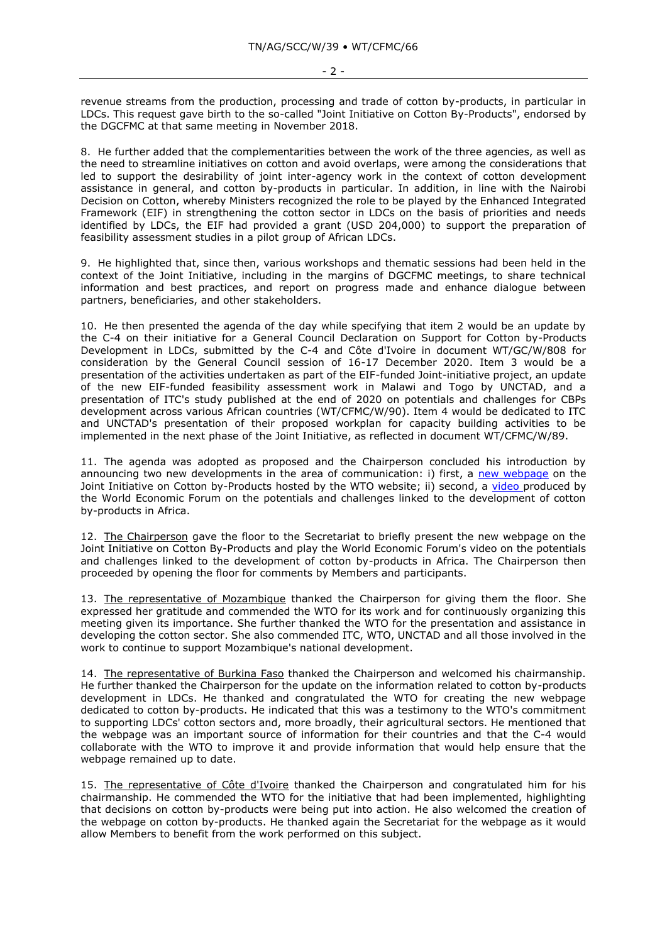revenue streams from the production, processing and trade of cotton by-products, in particular in LDCs. This request gave birth to the so-called "Joint Initiative on Cotton By-Products", endorsed by the DGCFMC at that same meeting in November 2018.

8. He further added that the complementarities between the work of the three agencies, as well as the need to streamline initiatives on cotton and avoid overlaps, were among the considerations that led to support the desirability of joint inter-agency work in the context of cotton development assistance in general, and cotton by-products in particular. In addition, in line with the Nairobi Decision on Cotton, whereby Ministers recognized the role to be played by the Enhanced Integrated Framework (EIF) in strengthening the cotton sector in LDCs on the basis of priorities and needs identified by LDCs, the EIF had provided a grant (USD 204,000) to support the preparation of feasibility assessment studies in a pilot group of African LDCs.

9. He highlighted that, since then, various workshops and thematic sessions had been held in the context of the Joint Initiative, including in the margins of DGCFMC meetings, to share technical information and best practices, and report on progress made and enhance dialogue between partners, beneficiaries, and other stakeholders.

10. He then presented the agenda of the day while specifying that item 2 would be an update by the C-4 on their initiative for a General Council Declaration on Support for Cotton by-Products Development in LDCs, submitted by the C-4 and Côte d'Ivoire in document WT/GC/W/808 for consideration by the General Council session of 16-17 December 2020. Item 3 would be a presentation of the activities undertaken as part of the EIF-funded Joint-initiative project, an update of the new EIF-funded feasibility assessment work in Malawi and Togo by UNCTAD, and a presentation of ITC's study published at the end of 2020 on potentials and challenges for CBPs development across various African countries (WT/CFMC/W/90). Item 4 would be dedicated to ITC and UNCTAD's presentation of their proposed workplan for capacity building activities to be implemented in the next phase of the Joint Initiative, as reflected in document WT/CFMC/W/89.

11. The agenda was adopted as proposed and the Chairperson concluded his introduction by announcing two new developments in the area of communication: i) first, a [new webpage](https://www.wto.org/english/tratop_e/agric_e/cbps_e.htm) on the Joint Initiative on Cotton by-Products hosted by the WTO website; ii) second, a [video](https://www.weforum.org/videos/22596-these-farmers-in-africa-are-turning-cotton-waste-into-food-fuel-and-soap) produced by the World Economic Forum on the potentials and challenges linked to the development of cotton by-products in Africa.

12. The Chairperson gave the floor to the Secretariat to briefly present the new webpage on the Joint Initiative on Cotton By-Products and play the World Economic Forum's video on the potentials and challenges linked to the development of cotton by-products in Africa. The Chairperson then proceeded by opening the floor for comments by Members and participants.

13. The representative of Mozambique thanked the Chairperson for giving them the floor. She expressed her gratitude and commended the WTO for its work and for continuously organizing this meeting given its importance. She further thanked the WTO for the presentation and assistance in developing the cotton sector. She also commended ITC, WTO, UNCTAD and all those involved in the work to continue to support Mozambique's national development.

14. The representative of Burkina Faso thanked the Chairperson and welcomed his chairmanship. He further thanked the Chairperson for the update on the information related to cotton by-products development in LDCs. He thanked and congratulated the WTO for creating the new webpage dedicated to cotton by-products. He indicated that this was a testimony to the WTO's commitment to supporting LDCs' cotton sectors and, more broadly, their agricultural sectors. He mentioned that the webpage was an important source of information for their countries and that the C-4 would collaborate with the WTO to improve it and provide information that would help ensure that the webpage remained up to date.

15. The representative of Côte d'Ivoire thanked the Chairperson and congratulated him for his chairmanship. He commended the WTO for the initiative that had been implemented, highlighting that decisions on cotton by-products were being put into action. He also welcomed the creation of the webpage on cotton by-products. He thanked again the Secretariat for the webpage as it would allow Members to benefit from the work performed on this subject.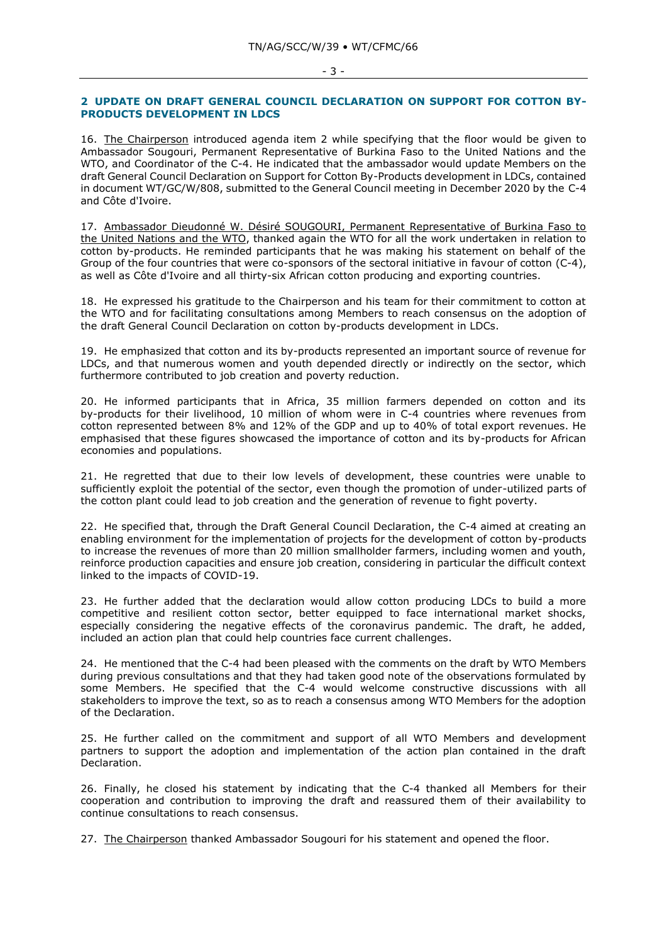#### - 3 -

### **2 UPDATE ON DRAFT GENERAL COUNCIL DECLARATION ON SUPPORT FOR COTTON BY-PRODUCTS DEVELOPMENT IN LDCS**

16. The Chairperson introduced agenda item 2 while specifying that the floor would be given to Ambassador Sougouri, Permanent Representative of Burkina Faso to the United Nations and the WTO, and Coordinator of the C-4. He indicated that the ambassador would update Members on the draft General Council Declaration on Support for Cotton By-Products development in LDCs, contained in document WT/GC/W/808, submitted to the General Council meeting in December 2020 by the C-4 and Côte d'Ivoire.

17. Ambassador Dieudonné W. Désiré SOUGOURI, Permanent Representative of Burkina Faso to the United Nations and the WTO, thanked again the WTO for all the work undertaken in relation to cotton by-products. He reminded participants that he was making his statement on behalf of the Group of the four countries that were co-sponsors of the sectoral initiative in favour of cotton (C-4), as well as Côte d'Ivoire and all thirty-six African cotton producing and exporting countries.

18. He expressed his gratitude to the Chairperson and his team for their commitment to cotton at the WTO and for facilitating consultations among Members to reach consensus on the adoption of the draft General Council Declaration on cotton by-products development in LDCs.

19. He emphasized that cotton and its by-products represented an important source of revenue for LDCs, and that numerous women and youth depended directly or indirectly on the sector, which furthermore contributed to job creation and poverty reduction.

20. He informed participants that in Africa, 35 million farmers depended on cotton and its by-products for their livelihood, 10 million of whom were in C-4 countries where revenues from cotton represented between 8% and 12% of the GDP and up to 40% of total export revenues. He emphasised that these figures showcased the importance of cotton and its by-products for African economies and populations.

21. He regretted that due to their low levels of development, these countries were unable to sufficiently exploit the potential of the sector, even though the promotion of under-utilized parts of the cotton plant could lead to job creation and the generation of revenue to fight poverty.

22. He specified that, through the Draft General Council Declaration, the C-4 aimed at creating an enabling environment for the implementation of projects for the development of cotton by-products to increase the revenues of more than 20 million smallholder farmers, including women and youth, reinforce production capacities and ensure job creation, considering in particular the difficult context linked to the impacts of COVID-19.

23. He further added that the declaration would allow cotton producing LDCs to build a more competitive and resilient cotton sector, better equipped to face international market shocks, especially considering the negative effects of the coronavirus pandemic. The draft, he added, included an action plan that could help countries face current challenges.

24. He mentioned that the C-4 had been pleased with the comments on the draft by WTO Members during previous consultations and that they had taken good note of the observations formulated by some Members. He specified that the C-4 would welcome constructive discussions with all stakeholders to improve the text, so as to reach a consensus among WTO Members for the adoption of the Declaration.

25. He further called on the commitment and support of all WTO Members and development partners to support the adoption and implementation of the action plan contained in the draft Declaration.

26. Finally, he closed his statement by indicating that the C-4 thanked all Members for their cooperation and contribution to improving the draft and reassured them of their availability to continue consultations to reach consensus.

27. The Chairperson thanked Ambassador Sougouri for his statement and opened the floor.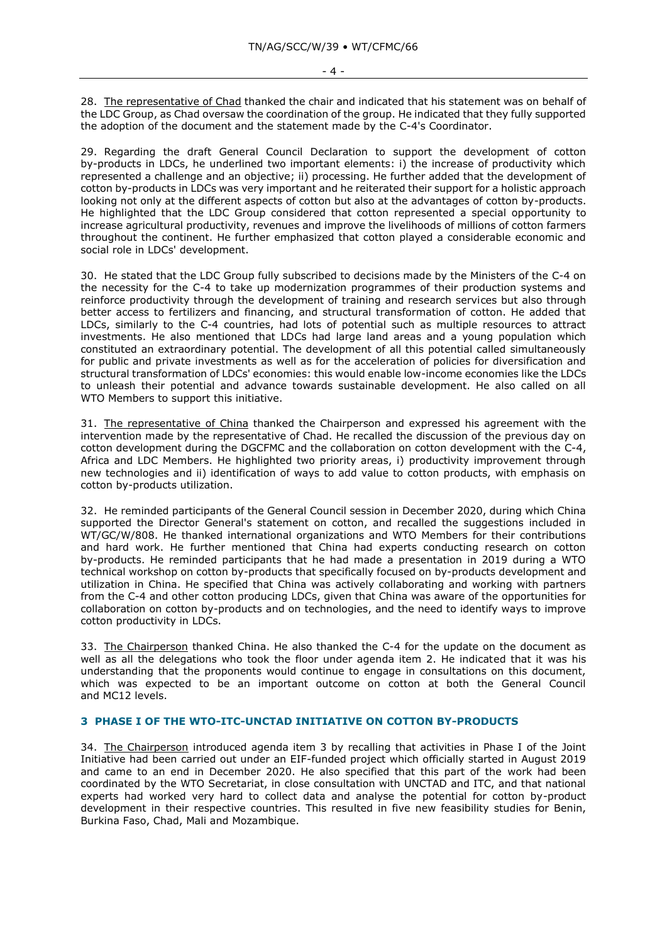28. The representative of Chad thanked the chair and indicated that his statement was on behalf of the LDC Group, as Chad oversaw the coordination of the group. He indicated that they fully supported the adoption of the document and the statement made by the C-4's Coordinator.

29. Regarding the draft General Council Declaration to support the development of cotton by-products in LDCs, he underlined two important elements: i) the increase of productivity which represented a challenge and an objective; ii) processing. He further added that the development of cotton by-products in LDCs was very important and he reiterated their support for a holistic approach looking not only at the different aspects of cotton but also at the advantages of cotton by-products. He highlighted that the LDC Group considered that cotton represented a special opportunity to increase agricultural productivity, revenues and improve the livelihoods of millions of cotton farmers throughout the continent. He further emphasized that cotton played a considerable economic and social role in LDCs' development.

30. He stated that the LDC Group fully subscribed to decisions made by the Ministers of the C-4 on the necessity for the C-4 to take up modernization programmes of their production systems and reinforce productivity through the development of training and research services but also through better access to fertilizers and financing, and structural transformation of cotton. He added that LDCs, similarly to the C-4 countries, had lots of potential such as multiple resources to attract investments. He also mentioned that LDCs had large land areas and a young population which constituted an extraordinary potential. The development of all this potential called simultaneously for public and private investments as well as for the acceleration of policies for diversification and structural transformation of LDCs' economies: this would enable low-income economies like the LDCs to unleash their potential and advance towards sustainable development. He also called on all WTO Members to support this initiative.

31. The representative of China thanked the Chairperson and expressed his agreement with the intervention made by the representative of Chad. He recalled the discussion of the previous day on cotton development during the DGCFMC and the collaboration on cotton development with the C-4, Africa and LDC Members. He highlighted two priority areas, i) productivity improvement through new technologies and ii) identification of ways to add value to cotton products, with emphasis on cotton by-products utilization.

32. He reminded participants of the General Council session in December 2020, during which China supported the Director General's statement on cotton, and recalled the suggestions included in WT/GC/W/808. He thanked international organizations and WTO Members for their contributions and hard work. He further mentioned that China had experts conducting research on cotton by-products. He reminded participants that he had made a presentation in 2019 during a WTO technical workshop on cotton by-products that specifically focused on by-products development and utilization in China. He specified that China was actively collaborating and working with partners from the C-4 and other cotton producing LDCs, given that China was aware of the opportunities for collaboration on cotton by-products and on technologies, and the need to identify ways to improve cotton productivity in LDCs.

33. The Chairperson thanked China. He also thanked the C-4 for the update on the document as well as all the delegations who took the floor under agenda item 2. He indicated that it was his understanding that the proponents would continue to engage in consultations on this document, which was expected to be an important outcome on cotton at both the General Council and MC12 levels.

# **3 PHASE I OF THE WTO-ITC-UNCTAD INITIATIVE ON COTTON BY-PRODUCTS**

34. The Chairperson introduced agenda item 3 by recalling that activities in Phase I of the Joint Initiative had been carried out under an EIF-funded project which officially started in August 2019 and came to an end in December 2020. He also specified that this part of the work had been coordinated by the WTO Secretariat, in close consultation with UNCTAD and ITC, and that national experts had worked very hard to collect data and analyse the potential for cotton by-product development in their respective countries. This resulted in five new feasibility studies for Benin, Burkina Faso, Chad, Mali and Mozambique.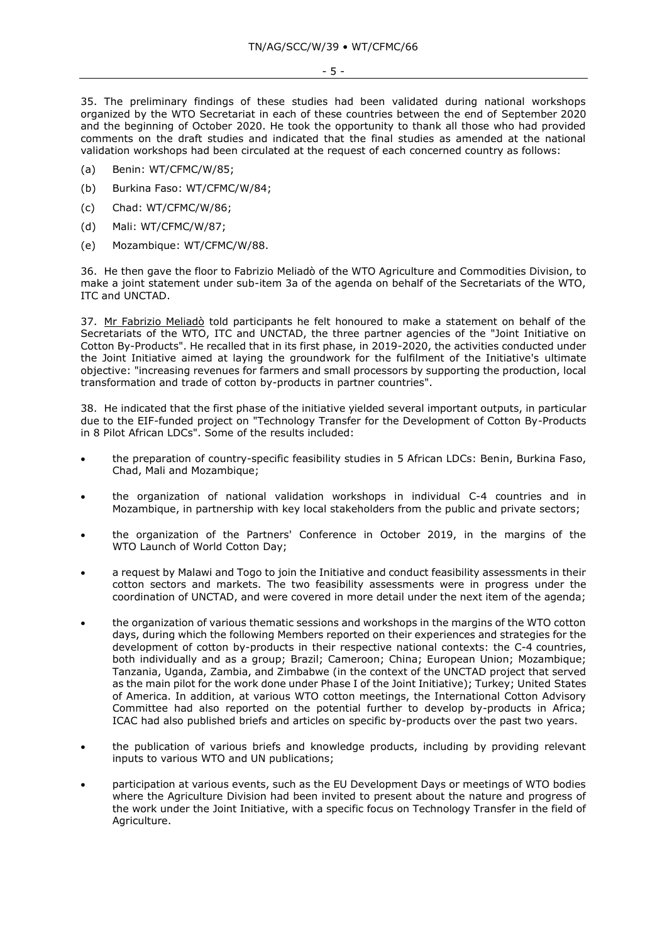35. The preliminary findings of these studies had been validated during national workshops organized by the WTO Secretariat in each of these countries between the end of September 2020 and the beginning of October 2020. He took the opportunity to thank all those who had provided comments on the draft studies and indicated that the final studies as amended at the national validation workshops had been circulated at the request of each concerned country as follows:

- (a) Benin: WT/CFMC/W/85;
- (b) Burkina Faso: WT/CFMC/W/84;
- (c) Chad: WT/CFMC/W/86;
- (d) Mali: WT/CFMC/W/87;
- (e) Mozambique: WT/CFMC/W/88.

36. He then gave the floor to Fabrizio Meliadò of the WTO Agriculture and Commodities Division, to make a joint statement under sub-item 3a of the agenda on behalf of the Secretariats of the WTO, ITC and UNCTAD.

37. Mr Fabrizio Meliadò told participants he felt honoured to make a statement on behalf of the Secretariats of the WTO, ITC and UNCTAD, the three partner agencies of the "Joint Initiative on Cotton By-Products". He recalled that in its first phase, in 2019-2020, the activities conducted under the Joint Initiative aimed at laying the groundwork for the fulfilment of the Initiative's ultimate objective: "increasing revenues for farmers and small processors by supporting the production, local transformation and trade of cotton by-products in partner countries".

38. He indicated that the first phase of the initiative yielded several important outputs, in particular due to the EIF-funded project on "Technology Transfer for the Development of Cotton By-Products in 8 Pilot African LDCs". Some of the results included:

- the preparation of country-specific feasibility studies in 5 African LDCs: Benin, Burkina Faso, Chad, Mali and Mozambique;
- the organization of national validation workshops in individual C-4 countries and in Mozambique, in partnership with key local stakeholders from the public and private sectors;
- the organization of the Partners' Conference in October 2019, in the margins of the WTO Launch of World Cotton Day;
- a request by Malawi and Togo to join the Initiative and conduct feasibility assessments in their cotton sectors and markets. The two feasibility assessments were in progress under the coordination of UNCTAD, and were covered in more detail under the next item of the agenda;
- the organization of various thematic sessions and workshops in the margins of the WTO cotton days, during which the following Members reported on their experiences and strategies for the development of cotton by-products in their respective national contexts: the C-4 countries, both individually and as a group; Brazil; Cameroon; China; European Union; Mozambique; Tanzania, Uganda, Zambia, and Zimbabwe (in the context of the UNCTAD project that served as the main pilot for the work done under Phase I of the Joint Initiative); Turkey; United States of America. In addition, at various WTO cotton meetings, the International Cotton Advisory Committee had also reported on the potential further to develop by-products in Africa; ICAC had also published briefs and articles on specific by-products over the past two years.
- the publication of various briefs and knowledge products, including by providing relevant inputs to various WTO and UN publications;
- participation at various events, such as the EU Development Days or meetings of WTO bodies where the Agriculture Division had been invited to present about the nature and progress of the work under the Joint Initiative, with a specific focus on Technology Transfer in the field of Agriculture.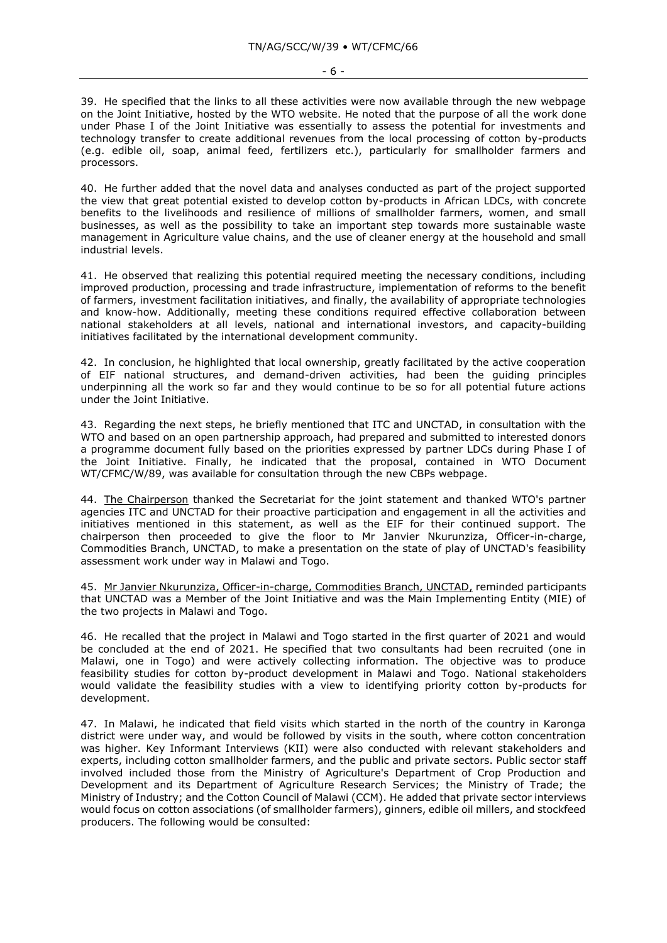39. He specified that the links to all these activities were now available through the new webpage on the Joint Initiative, hosted by the WTO website. He noted that the purpose of all the work done under Phase I of the Joint Initiative was essentially to assess the potential for investments and technology transfer to create additional revenues from the local processing of cotton by-products (e.g. edible oil, soap, animal feed, fertilizers etc.), particularly for smallholder farmers and processors.

40. He further added that the novel data and analyses conducted as part of the project supported the view that great potential existed to develop cotton by-products in African LDCs, with concrete benefits to the livelihoods and resilience of millions of smallholder farmers, women, and small businesses, as well as the possibility to take an important step towards more sustainable waste management in Agriculture value chains, and the use of cleaner energy at the household and small industrial levels.

41. He observed that realizing this potential required meeting the necessary conditions, including improved production, processing and trade infrastructure, implementation of reforms to the benefit of farmers, investment facilitation initiatives, and finally, the availability of appropriate technologies and know-how. Additionally, meeting these conditions required effective collaboration between national stakeholders at all levels, national and international investors, and capacity-building initiatives facilitated by the international development community.

42. In conclusion, he highlighted that local ownership, greatly facilitated by the active cooperation of EIF national structures, and demand-driven activities, had been the guiding principles underpinning all the work so far and they would continue to be so for all potential future actions under the Joint Initiative.

43. Regarding the next steps, he briefly mentioned that ITC and UNCTAD, in consultation with the WTO and based on an open partnership approach, had prepared and submitted to interested donors a programme document fully based on the priorities expressed by partner LDCs during Phase I of the Joint Initiative. Finally, he indicated that the proposal, contained in WTO Document WT/CFMC/W/89, was available for consultation through the new CBPs webpage.

44. The Chairperson thanked the Secretariat for the joint statement and thanked WTO's partner agencies ITC and UNCTAD for their proactive participation and engagement in all the activities and initiatives mentioned in this statement, as well as the EIF for their continued support. The chairperson then proceeded to give the floor to Mr Janvier Nkurunziza, Officer-in-charge, Commodities Branch, UNCTAD, to make a presentation on the state of play of UNCTAD's feasibility assessment work under way in Malawi and Togo.

45. Mr Janvier Nkurunziza, Officer-in-charge, Commodities Branch, UNCTAD, reminded participants that UNCTAD was a Member of the Joint Initiative and was the Main Implementing Entity (MIE) of the two projects in Malawi and Togo.

46. He recalled that the project in Malawi and Togo started in the first quarter of 2021 and would be concluded at the end of 2021. He specified that two consultants had been recruited (one in Malawi, one in Togo) and were actively collecting information. The objective was to produce feasibility studies for cotton by-product development in Malawi and Togo. National stakeholders would validate the feasibility studies with a view to identifying priority cotton by-products for development.

47. In Malawi, he indicated that field visits which started in the north of the country in Karonga district were under way, and would be followed by visits in the south, where cotton concentration was higher. Key Informant Interviews (KII) were also conducted with relevant stakeholders and experts, including cotton smallholder farmers, and the public and private sectors. Public sector staff involved included those from the Ministry of Agriculture's Department of Crop Production and Development and its Department of Agriculture Research Services; the Ministry of Trade; the Ministry of Industry; and the Cotton Council of Malawi (CCM). He added that private sector interviews would focus on cotton associations (of smallholder farmers), ginners, edible oil millers, and stockfeed producers. The following would be consulted: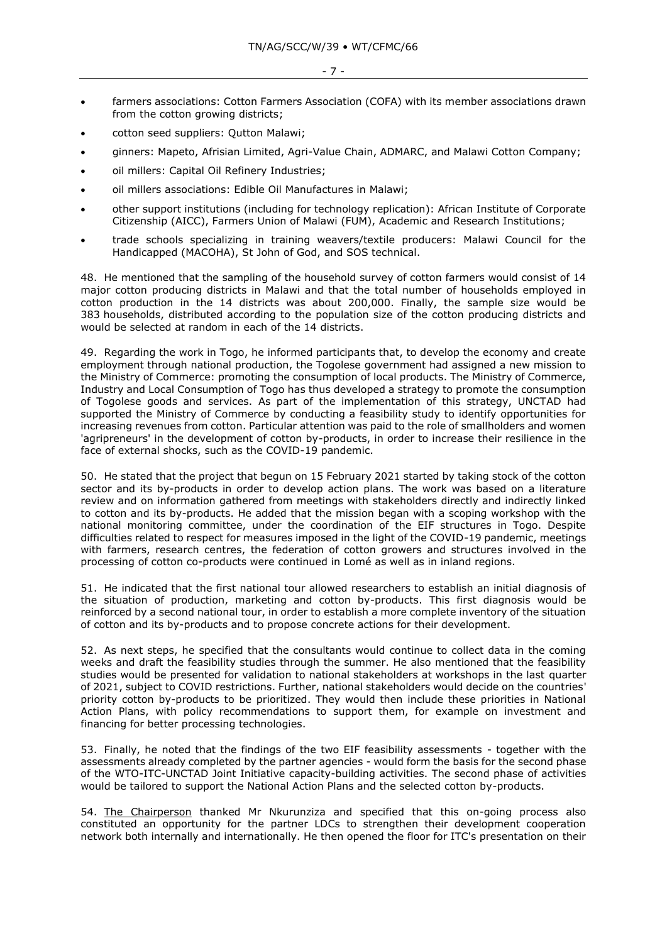- farmers associations: Cotton Farmers Association (COFA) with its member associations drawn from the cotton growing districts;
- cotton seed suppliers: Qutton Malawi;
- ginners: Mapeto, Afrisian Limited, Agri-Value Chain, ADMARC, and Malawi Cotton Company;
- oil millers: Capital Oil Refinery Industries;
- oil millers associations: Edible Oil Manufactures in Malawi;
- other support institutions (including for technology replication): African Institute of Corporate Citizenship (AICC), Farmers Union of Malawi (FUM), Academic and Research Institutions;
- trade schools specializing in training weavers/textile producers: Malawi Council for the Handicapped (MACOHA), St John of God, and SOS technical.

48. He mentioned that the sampling of the household survey of cotton farmers would consist of 14 major cotton producing districts in Malawi and that the total number of households employed in cotton production in the 14 districts was about 200,000. Finally, the sample size would be 383 households, distributed according to the population size of the cotton producing districts and would be selected at random in each of the 14 districts.

49. Regarding the work in Togo, he informed participants that, to develop the economy and create employment through national production, the Togolese government had assigned a new mission to the Ministry of Commerce: promoting the consumption of local products. The Ministry of Commerce, Industry and Local Consumption of Togo has thus developed a strategy to promote the consumption of Togolese goods and services. As part of the implementation of this strategy, UNCTAD had supported the Ministry of Commerce by conducting a feasibility study to identify opportunities for increasing revenues from cotton. Particular attention was paid to the role of smallholders and women 'agripreneurs' in the development of cotton by-products, in order to increase their resilience in the face of external shocks, such as the COVID-19 pandemic.

50. He stated that the project that begun on 15 February 2021 started by taking stock of the cotton sector and its by-products in order to develop action plans. The work was based on a literature review and on information gathered from meetings with stakeholders directly and indirectly linked to cotton and its by-products. He added that the mission began with a scoping workshop with the national monitoring committee, under the coordination of the EIF structures in Togo. Despite difficulties related to respect for measures imposed in the light of the COVID-19 pandemic, meetings with farmers, research centres, the federation of cotton growers and structures involved in the processing of cotton co-products were continued in Lomé as well as in inland regions.

51. He indicated that the first national tour allowed researchers to establish an initial diagnosis of the situation of production, marketing and cotton by-products. This first diagnosis would be reinforced by a second national tour, in order to establish a more complete inventory of the situation of cotton and its by-products and to propose concrete actions for their development.

52. As next steps, he specified that the consultants would continue to collect data in the coming weeks and draft the feasibility studies through the summer. He also mentioned that the feasibility studies would be presented for validation to national stakeholders at workshops in the last quarter of 2021, subject to COVID restrictions. Further, national stakeholders would decide on the countries' priority cotton by-products to be prioritized. They would then include these priorities in National Action Plans, with policy recommendations to support them, for example on investment and financing for better processing technologies.

53. Finally, he noted that the findings of the two EIF feasibility assessments - together with the assessments already completed by the partner agencies - would form the basis for the second phase of the WTO-ITC-UNCTAD Joint Initiative capacity-building activities. The second phase of activities would be tailored to support the National Action Plans and the selected cotton by-products.

54. The Chairperson thanked Mr Nkurunziza and specified that this on-going process also constituted an opportunity for the partner LDCs to strengthen their development cooperation network both internally and internationally. He then opened the floor for ITC's presentation on their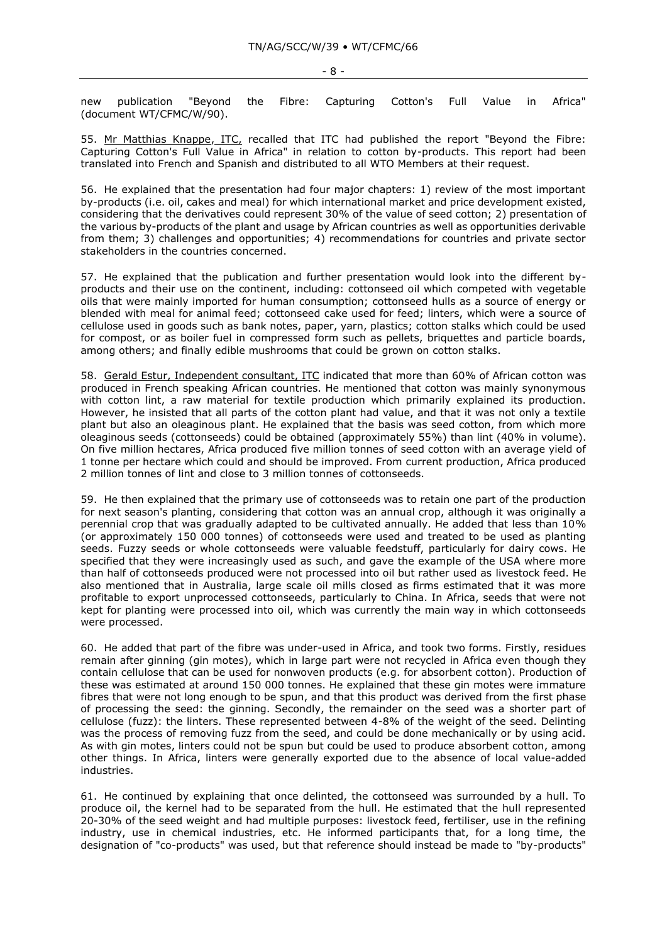- 8 -

new publication "Beyond the Fibre: Capturing Cotton's Full Value in Africa" (document WT/CFMC/W/90).

55. Mr Matthias Knappe, ITC, recalled that ITC had published the report "Beyond the Fibre: Capturing Cotton's Full Value in Africa" in relation to cotton by-products. This report had been translated into French and Spanish and distributed to all WTO Members at their request.

56. He explained that the presentation had four major chapters: 1) review of the most important by-products (i.e. oil, cakes and meal) for which international market and price development existed, considering that the derivatives could represent 30% of the value of seed cotton; 2) presentation of the various by-products of the plant and usage by African countries as well as opportunities derivable from them; 3) challenges and opportunities; 4) recommendations for countries and private sector stakeholders in the countries concerned.

57. He explained that the publication and further presentation would look into the different byproducts and their use on the continent, including: cottonseed oil which competed with vegetable oils that were mainly imported for human consumption; cottonseed hulls as a source of energy or blended with meal for animal feed; cottonseed cake used for feed; linters, which were a source of cellulose used in goods such as bank notes, paper, yarn, plastics; cotton stalks which could be used for compost, or as boiler fuel in compressed form such as pellets, briquettes and particle boards, among others; and finally edible mushrooms that could be grown on cotton stalks.

58. Gerald Estur, Independent consultant, ITC indicated that more than 60% of African cotton was produced in French speaking African countries. He mentioned that cotton was mainly synonymous with cotton lint, a raw material for textile production which primarily explained its production. However, he insisted that all parts of the cotton plant had value, and that it was not only a textile plant but also an oleaginous plant. He explained that the basis was seed cotton, from which more oleaginous seeds (cottonseeds) could be obtained (approximately 55%) than lint (40% in volume). On five million hectares, Africa produced five million tonnes of seed cotton with an average yield of 1 tonne per hectare which could and should be improved. From current production, Africa produced 2 million tonnes of lint and close to 3 million tonnes of cottonseeds.

59. He then explained that the primary use of cottonseeds was to retain one part of the production for next season's planting, considering that cotton was an annual crop, although it was originally a perennial crop that was gradually adapted to be cultivated annually. He added that less than 10% (or approximately 150 000 tonnes) of cottonseeds were used and treated to be used as planting seeds. Fuzzy seeds or whole cottonseeds were valuable feedstuff, particularly for dairy cows. He specified that they were increasingly used as such, and gave the example of the USA where more than half of cottonseeds produced were not processed into oil but rather used as livestock feed. He also mentioned that in Australia, large scale oil mills closed as firms estimated that it was more profitable to export unprocessed cottonseeds, particularly to China. In Africa, seeds that were not kept for planting were processed into oil, which was currently the main way in which cottonseeds were processed.

60. He added that part of the fibre was under-used in Africa, and took two forms. Firstly, residues remain after ginning (gin motes), which in large part were not recycled in Africa even though they contain cellulose that can be used for nonwoven products (e.g. for absorbent cotton). Production of these was estimated at around 150 000 tonnes. He explained that these gin motes were immature fibres that were not long enough to be spun, and that this product was derived from the first phase of processing the seed: the ginning. Secondly, the remainder on the seed was a shorter part of cellulose (fuzz): the linters. These represented between 4-8% of the weight of the seed. Delinting was the process of removing fuzz from the seed, and could be done mechanically or by using acid. As with gin motes, linters could not be spun but could be used to produce absorbent cotton, among other things. In Africa, linters were generally exported due to the absence of local value-added industries.

61. He continued by explaining that once delinted, the cottonseed was surrounded by a hull. To produce oil, the kernel had to be separated from the hull. He estimated that the hull represented 20-30% of the seed weight and had multiple purposes: livestock feed, fertiliser, use in the refining industry, use in chemical industries, etc. He informed participants that, for a long time, the designation of "co-products" was used, but that reference should instead be made to "by-products"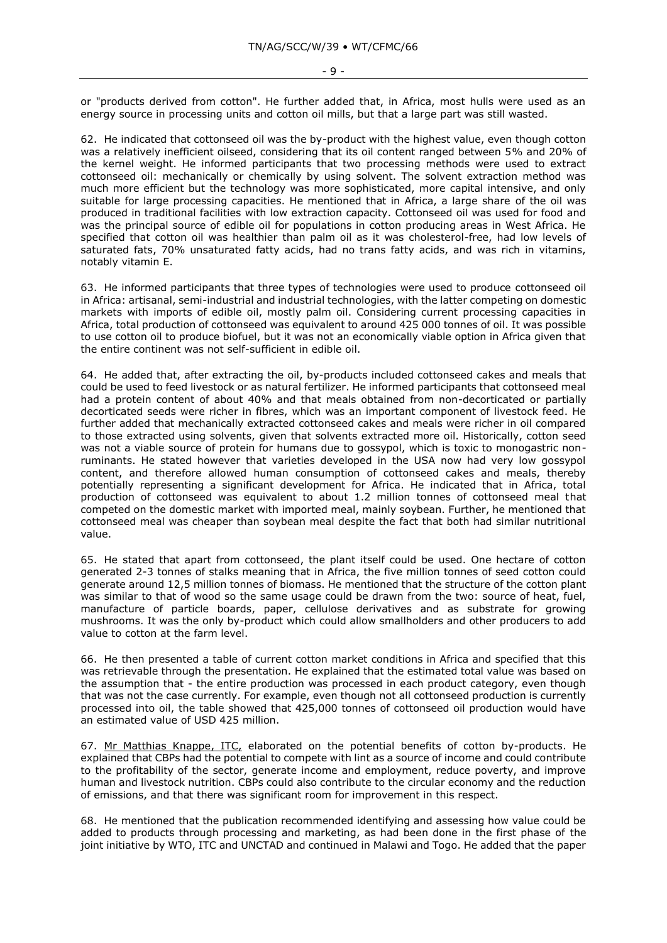or "products derived from cotton". He further added that, in Africa, most hulls were used as an energy source in processing units and cotton oil mills, but that a large part was still wasted.

62. He indicated that cottonseed oil was the by-product with the highest value, even though cotton was a relatively inefficient oilseed, considering that its oil content ranged between 5% and 20% of the kernel weight. He informed participants that two processing methods were used to extract cottonseed oil: mechanically or chemically by using solvent. The solvent extraction method was much more efficient but the technology was more sophisticated, more capital intensive, and only suitable for large processing capacities. He mentioned that in Africa, a large share of the oil was produced in traditional facilities with low extraction capacity. Cottonseed oil was used for food and was the principal source of edible oil for populations in cotton producing areas in West Africa. He specified that cotton oil was healthier than palm oil as it was cholesterol-free, had low levels of saturated fats, 70% unsaturated fatty acids, had no trans fatty acids, and was rich in vitamins, notably vitamin E.

63. He informed participants that three types of technologies were used to produce cottonseed oil in Africa: artisanal, semi-industrial and industrial technologies, with the latter competing on domestic markets with imports of edible oil, mostly palm oil. Considering current processing capacities in Africa, total production of cottonseed was equivalent to around 425 000 tonnes of oil. It was possible to use cotton oil to produce biofuel, but it was not an economically viable option in Africa given that the entire continent was not self-sufficient in edible oil.

64. He added that, after extracting the oil, by-products included cottonseed cakes and meals that could be used to feed livestock or as natural fertilizer. He informed participants that cottonseed meal had a protein content of about 40% and that meals obtained from non-decorticated or partially decorticated seeds were richer in fibres, which was an important component of livestock feed. He further added that mechanically extracted cottonseed cakes and meals were richer in oil compared to those extracted using solvents, given that solvents extracted more oil. Historically, cotton seed was not a viable source of protein for humans due to gossypol, which is toxic to monogastric nonruminants. He stated however that varieties developed in the USA now had very low gossypol content, and therefore allowed human consumption of cottonseed cakes and meals, thereby potentially representing a significant development for Africa. He indicated that in Africa, total production of cottonseed was equivalent to about 1.2 million tonnes of cottonseed meal that competed on the domestic market with imported meal, mainly soybean. Further, he mentioned that cottonseed meal was cheaper than soybean meal despite the fact that both had similar nutritional value.

65. He stated that apart from cottonseed, the plant itself could be used. One hectare of cotton generated 2-3 tonnes of stalks meaning that in Africa, the five million tonnes of seed cotton could generate around 12,5 million tonnes of biomass. He mentioned that the structure of the cotton plant was similar to that of wood so the same usage could be drawn from the two: source of heat, fuel, manufacture of particle boards, paper, cellulose derivatives and as substrate for growing mushrooms. It was the only by-product which could allow smallholders and other producers to add value to cotton at the farm level.

66. He then presented a table of current cotton market conditions in Africa and specified that this was retrievable through the presentation. He explained that the estimated total value was based on the assumption that - the entire production was processed in each product category, even though that was not the case currently. For example, even though not all cottonseed production is currently processed into oil, the table showed that 425,000 tonnes of cottonseed oil production would have an estimated value of USD 425 million.

67. Mr Matthias Knappe, ITC, elaborated on the potential benefits of cotton by-products. He explained that CBPs had the potential to compete with lint as a source of income and could contribute to the profitability of the sector, generate income and employment, reduce poverty, and improve human and livestock nutrition. CBPs could also contribute to the circular economy and the reduction of emissions, and that there was significant room for improvement in this respect.

68. He mentioned that the publication recommended identifying and assessing how value could be added to products through processing and marketing, as had been done in the first phase of the joint initiative by WTO, ITC and UNCTAD and continued in Malawi and Togo. He added that the paper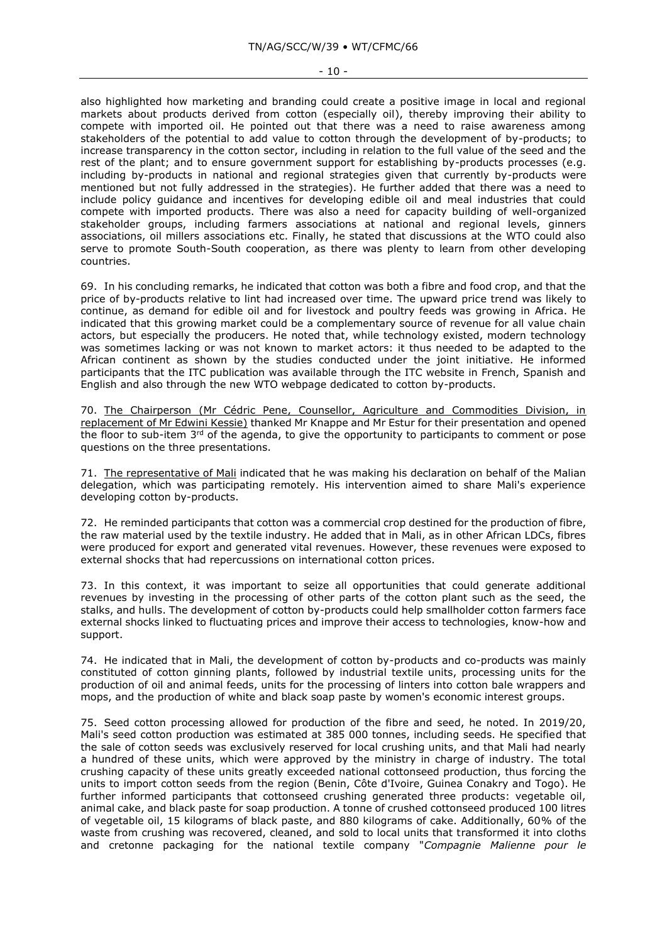### - 10 -

also highlighted how marketing and branding could create a positive image in local and regional markets about products derived from cotton (especially oil), thereby improving their ability to compete with imported oil. He pointed out that there was a need to raise awareness among stakeholders of the potential to add value to cotton through the development of by-products; to increase transparency in the cotton sector, including in relation to the full value of the seed and the rest of the plant; and to ensure government support for establishing by-products processes (e.g. including by-products in national and regional strategies given that currently by-products were mentioned but not fully addressed in the strategies). He further added that there was a need to include policy guidance and incentives for developing edible oil and meal industries that could compete with imported products. There was also a need for capacity building of well-organized stakeholder groups, including farmers associations at national and regional levels, ginners associations, oil millers associations etc. Finally, he stated that discussions at the WTO could also serve to promote South-South cooperation, as there was plenty to learn from other developing countries.

69. In his concluding remarks, he indicated that cotton was both a fibre and food crop, and that the price of by-products relative to lint had increased over time. The upward price trend was likely to continue, as demand for edible oil and for livestock and poultry feeds was growing in Africa. He indicated that this growing market could be a complementary source of revenue for all value chain actors, but especially the producers. He noted that, while technology existed, modern technology was sometimes lacking or was not known to market actors: it thus needed to be adapted to the African continent as shown by the studies conducted under the joint initiative. He informed participants that the ITC publication was available through the ITC website in French, Spanish and English and also through the new WTO webpage dedicated to cotton by-products.

70. The Chairperson (Mr Cédric Pene, Counsellor, Agriculture and Commodities Division, in replacement of Mr Edwini Kessie) thanked Mr Knappe and Mr Estur for their presentation and opened the floor to sub-item 3<sup>rd</sup> of the agenda, to give the opportunity to participants to comment or pose questions on the three presentations.

71. The representative of Mali indicated that he was making his declaration on behalf of the Malian delegation, which was participating remotely. His intervention aimed to share Mali's experience developing cotton by-products.

72. He reminded participants that cotton was a commercial crop destined for the production of fibre, the raw material used by the textile industry. He added that in Mali, as in other African LDCs, fibres were produced for export and generated vital revenues. However, these revenues were exposed to external shocks that had repercussions on international cotton prices.

73. In this context, it was important to seize all opportunities that could generate additional revenues by investing in the processing of other parts of the cotton plant such as the seed, the stalks, and hulls. The development of cotton by-products could help smallholder cotton farmers face external shocks linked to fluctuating prices and improve their access to technologies, know-how and support.

74. He indicated that in Mali, the development of cotton by-products and co-products was mainly constituted of cotton ginning plants, followed by industrial textile units, processing units for the production of oil and animal feeds, units for the processing of linters into cotton bale wrappers and mops, and the production of white and black soap paste by women's economic interest groups.

75. Seed cotton processing allowed for production of the fibre and seed, he noted. In 2019/20, Mali's seed cotton production was estimated at 385 000 tonnes, including seeds. He specified that the sale of cotton seeds was exclusively reserved for local crushing units, and that Mali had nearly a hundred of these units, which were approved by the ministry in charge of industry. The total crushing capacity of these units greatly exceeded national cottonseed production, thus forcing the units to import cotton seeds from the region (Benin, Côte d'Ivoire, Guinea Conakry and Togo). He further informed participants that cottonseed crushing generated three products: vegetable oil, animal cake, and black paste for soap production. A tonne of crushed cottonseed produced 100 litres of vegetable oil, 15 kilograms of black paste, and 880 kilograms of cake. Additionally, 60% of the waste from crushing was recovered, cleaned, and sold to local units that transformed it into cloths and cretonne packaging for the national textile company "*Compagnie Malienne pour le*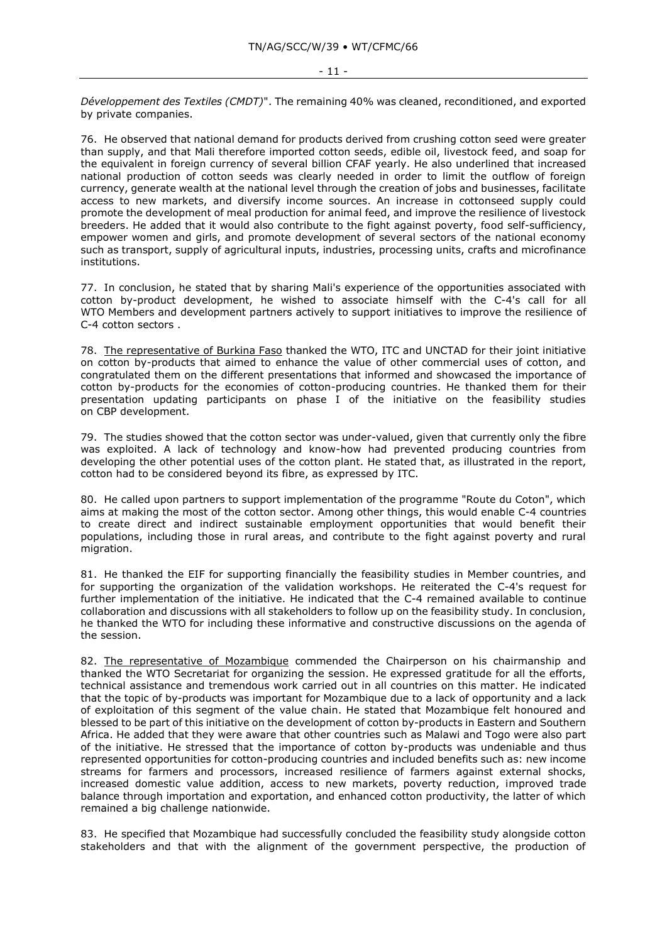*Développement des Textiles (CMDT)*". The remaining 40% was cleaned, reconditioned, and exported by private companies.

76. He observed that national demand for products derived from crushing cotton seed were greater than supply, and that Mali therefore imported cotton seeds, edible oil, livestock feed, and soap for the equivalent in foreign currency of several billion CFAF yearly. He also underlined that increased national production of cotton seeds was clearly needed in order to limit the outflow of foreign currency, generate wealth at the national level through the creation of jobs and businesses, facilitate access to new markets, and diversify income sources. An increase in cottonseed supply could promote the development of meal production for animal feed, and improve the resilience of livestock breeders. He added that it would also contribute to the fight against poverty, food self-sufficiency, empower women and girls, and promote development of several sectors of the national economy such as transport, supply of agricultural inputs, industries, processing units, crafts and microfinance institutions.

77. In conclusion, he stated that by sharing Mali's experience of the opportunities associated with cotton by-product development, he wished to associate himself with the C-4's call for all WTO Members and development partners actively to support initiatives to improve the resilience of C-4 cotton sectors .

78. The representative of Burkina Faso thanked the WTO, ITC and UNCTAD for their joint initiative on cotton by-products that aimed to enhance the value of other commercial uses of cotton, and congratulated them on the different presentations that informed and showcased the importance of cotton by-products for the economies of cotton-producing countries. He thanked them for their presentation updating participants on phase I of the initiative on the feasibility studies on CBP development.

79. The studies showed that the cotton sector was under-valued, given that currently only the fibre was exploited. A lack of technology and know-how had prevented producing countries from developing the other potential uses of the cotton plant. He stated that, as illustrated in the report, cotton had to be considered beyond its fibre, as expressed by ITC.

80. He called upon partners to support implementation of the programme "Route du Coton", which aims at making the most of the cotton sector. Among other things, this would enable C-4 countries to create direct and indirect sustainable employment opportunities that would benefit their populations, including those in rural areas, and contribute to the fight against poverty and rural migration.

81. He thanked the EIF for supporting financially the feasibility studies in Member countries, and for supporting the organization of the validation workshops. He reiterated the C-4's request for further implementation of the initiative. He indicated that the C-4 remained available to continue collaboration and discussions with all stakeholders to follow up on the feasibility study. In conclusion, he thanked the WTO for including these informative and constructive discussions on the agenda of the session.

82. The representative of Mozambique commended the Chairperson on his chairmanship and thanked the WTO Secretariat for organizing the session. He expressed gratitude for all the efforts, technical assistance and tremendous work carried out in all countries on this matter. He indicated that the topic of by-products was important for Mozambique due to a lack of opportunity and a lack of exploitation of this segment of the value chain. He stated that Mozambique felt honoured and blessed to be part of this initiative on the development of cotton by-products in Eastern and Southern Africa. He added that they were aware that other countries such as Malawi and Togo were also part of the initiative. He stressed that the importance of cotton by-products was undeniable and thus represented opportunities for cotton-producing countries and included benefits such as: new income streams for farmers and processors, increased resilience of farmers against external shocks, increased domestic value addition, access to new markets, poverty reduction, improved trade balance through importation and exportation, and enhanced cotton productivity, the latter of which remained a big challenge nationwide.

83. He specified that Mozambique had successfully concluded the feasibility study alongside cotton stakeholders and that with the alignment of the government perspective, the production of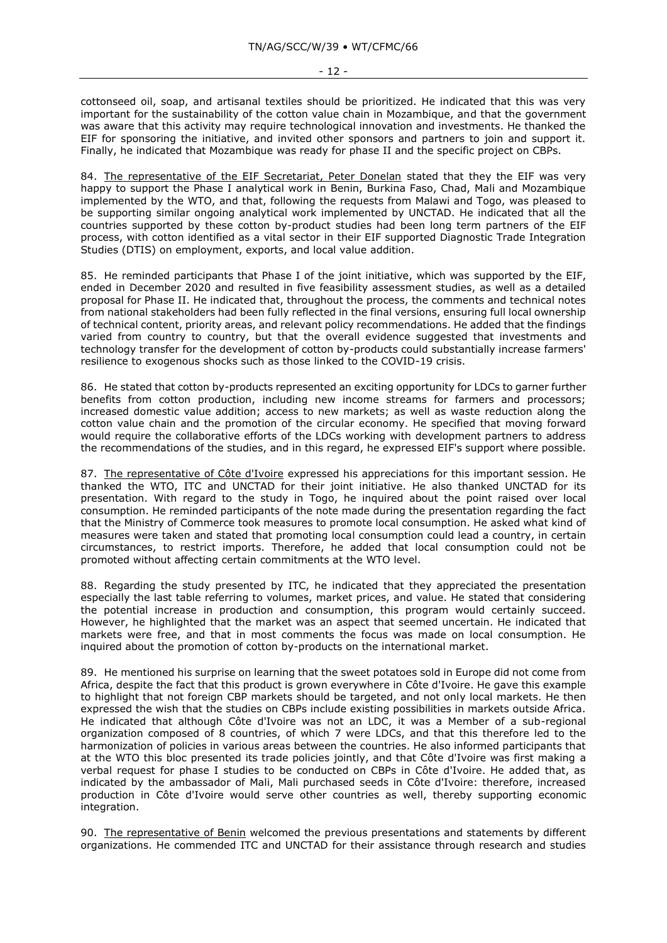cottonseed oil, soap, and artisanal textiles should be prioritized. He indicated that this was very important for the sustainability of the cotton value chain in Mozambique, and that the government was aware that this activity may require technological innovation and investments. He thanked the EIF for sponsoring the initiative, and invited other sponsors and partners to join and support it. Finally, he indicated that Mozambique was ready for phase II and the specific project on CBPs.

84. The representative of the EIF Secretariat, Peter Donelan stated that they the EIF was very happy to support the Phase I analytical work in Benin, Burkina Faso, Chad, Mali and Mozambique implemented by the WTO, and that, following the requests from Malawi and Togo, was pleased to be supporting similar ongoing analytical work implemented by UNCTAD. He indicated that all the countries supported by these cotton by-product studies had been long term partners of the EIF process, with cotton identified as a vital sector in their EIF supported Diagnostic Trade Integration Studies (DTIS) on employment, exports, and local value addition.

85. He reminded participants that Phase I of the joint initiative, which was supported by the EIF, ended in December 2020 and resulted in five feasibility assessment studies, as well as a detailed proposal for Phase II. He indicated that, throughout the process, the comments and technical notes from national stakeholders had been fully reflected in the final versions, ensuring full local ownership of technical content, priority areas, and relevant policy recommendations. He added that the findings varied from country to country, but that the overall evidence suggested that investments and technology transfer for the development of cotton by-products could substantially increase farmers' resilience to exogenous shocks such as those linked to the COVID-19 crisis.

86. He stated that cotton by-products represented an exciting opportunity for LDCs to garner further benefits from cotton production, including new income streams for farmers and processors; increased domestic value addition; access to new markets; as well as waste reduction along the cotton value chain and the promotion of the circular economy. He specified that moving forward would require the collaborative efforts of the LDCs working with development partners to address the recommendations of the studies, and in this regard, he expressed EIF's support where possible.

87. The representative of Côte d'Ivoire expressed his appreciations for this important session. He thanked the WTO, ITC and UNCTAD for their joint initiative. He also thanked UNCTAD for its presentation. With regard to the study in Togo, he inquired about the point raised over local consumption. He reminded participants of the note made during the presentation regarding the fact that the Ministry of Commerce took measures to promote local consumption. He asked what kind of measures were taken and stated that promoting local consumption could lead a country, in certain circumstances, to restrict imports. Therefore, he added that local consumption could not be promoted without affecting certain commitments at the WTO level.

88. Regarding the study presented by ITC, he indicated that they appreciated the presentation especially the last table referring to volumes, market prices, and value. He stated that considering the potential increase in production and consumption, this program would certainly succeed. However, he highlighted that the market was an aspect that seemed uncertain. He indicated that markets were free, and that in most comments the focus was made on local consumption. He inquired about the promotion of cotton by-products on the international market.

89. He mentioned his surprise on learning that the sweet potatoes sold in Europe did not come from Africa, despite the fact that this product is grown everywhere in Côte d'Ivoire. He gave this example to highlight that not foreign CBP markets should be targeted, and not only local markets. He then expressed the wish that the studies on CBPs include existing possibilities in markets outside Africa. He indicated that although Côte d'Ivoire was not an LDC, it was a Member of a sub-regional organization composed of 8 countries, of which 7 were LDCs, and that this therefore led to the harmonization of policies in various areas between the countries. He also informed participants that at the WTO this bloc presented its trade policies jointly, and that Côte d'Ivoire was first making a verbal request for phase I studies to be conducted on CBPs in Côte d'Ivoire. He added that, as indicated by the ambassador of Mali, Mali purchased seeds in Côte d'Ivoire: therefore, increased production in Côte d'Ivoire would serve other countries as well, thereby supporting economic integration.

90. The representative of Benin welcomed the previous presentations and statements by different organizations. He commended ITC and UNCTAD for their assistance through research and studies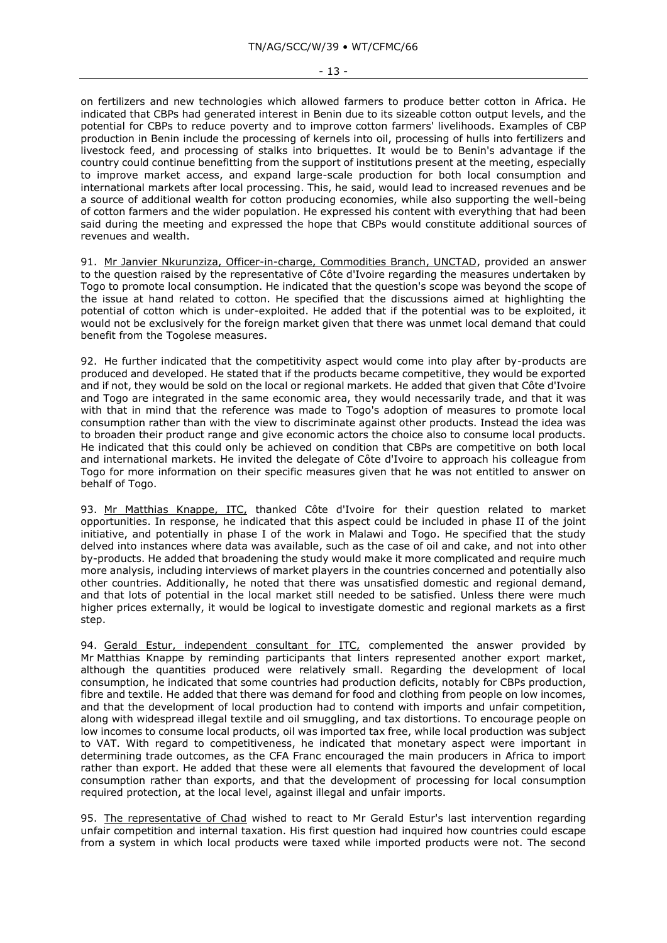on fertilizers and new technologies which allowed farmers to produce better cotton in Africa. He indicated that CBPs had generated interest in Benin due to its sizeable cotton output levels, and the potential for CBPs to reduce poverty and to improve cotton farmers' livelihoods. Examples of CBP production in Benin include the processing of kernels into oil, processing of hulls into fertilizers and livestock feed, and processing of stalks into briquettes. It would be to Benin's advantage if the country could continue benefitting from the support of institutions present at the meeting, especially to improve market access, and expand large-scale production for both local consumption and international markets after local processing. This, he said, would lead to increased revenues and be a source of additional wealth for cotton producing economies, while also supporting the well-being of cotton farmers and the wider population. He expressed his content with everything that had been said during the meeting and expressed the hope that CBPs would constitute additional sources of revenues and wealth.

91. Mr Janvier Nkurunziza, Officer-in-charge, Commodities Branch, UNCTAD, provided an answer to the question raised by the representative of Côte d'Ivoire regarding the measures undertaken by Togo to promote local consumption. He indicated that the question's scope was beyond the scope of the issue at hand related to cotton. He specified that the discussions aimed at highlighting the potential of cotton which is under-exploited. He added that if the potential was to be exploited, it would not be exclusively for the foreign market given that there was unmet local demand that could benefit from the Togolese measures.

92. He further indicated that the competitivity aspect would come into play after by-products are produced and developed. He stated that if the products became competitive, they would be exported and if not, they would be sold on the local or regional markets. He added that given that Côte d'Ivoire and Togo are integrated in the same economic area, they would necessarily trade, and that it was with that in mind that the reference was made to Togo's adoption of measures to promote local consumption rather than with the view to discriminate against other products. Instead the idea was to broaden their product range and give economic actors the choice also to consume local products. He indicated that this could only be achieved on condition that CBPs are competitive on both local and international markets. He invited the delegate of Côte d'Ivoire to approach his colleague from Togo for more information on their specific measures given that he was not entitled to answer on behalf of Togo.

93. Mr Matthias Knappe, ITC, thanked Côte d'Ivoire for their question related to market opportunities. In response, he indicated that this aspect could be included in phase II of the joint initiative, and potentially in phase I of the work in Malawi and Togo. He specified that the study delved into instances where data was available, such as the case of oil and cake, and not into other by-products. He added that broadening the study would make it more complicated and require much more analysis, including interviews of market players in the countries concerned and potentially also other countries. Additionally, he noted that there was unsatisfied domestic and regional demand, and that lots of potential in the local market still needed to be satisfied. Unless there were much higher prices externally, it would be logical to investigate domestic and regional markets as a first step.

94. Gerald Estur, independent consultant for ITC, complemented the answer provided by Mr Matthias Knappe by reminding participants that linters represented another export market. although the quantities produced were relatively small. Regarding the development of local consumption, he indicated that some countries had production deficits, notably for CBPs production, fibre and textile. He added that there was demand for food and clothing from people on low incomes, and that the development of local production had to contend with imports and unfair competition, along with widespread illegal textile and oil smuggling, and tax distortions. To encourage people on low incomes to consume local products, oil was imported tax free, while local production was subject to VAT. With regard to competitiveness, he indicated that monetary aspect were important in determining trade outcomes, as the CFA Franc encouraged the main producers in Africa to import rather than export. He added that these were all elements that favoured the development of local consumption rather than exports, and that the development of processing for local consumption required protection, at the local level, against illegal and unfair imports.

95. The representative of Chad wished to react to Mr Gerald Estur's last intervention regarding unfair competition and internal taxation. His first question had inquired how countries could escape from a system in which local products were taxed while imported products were not. The second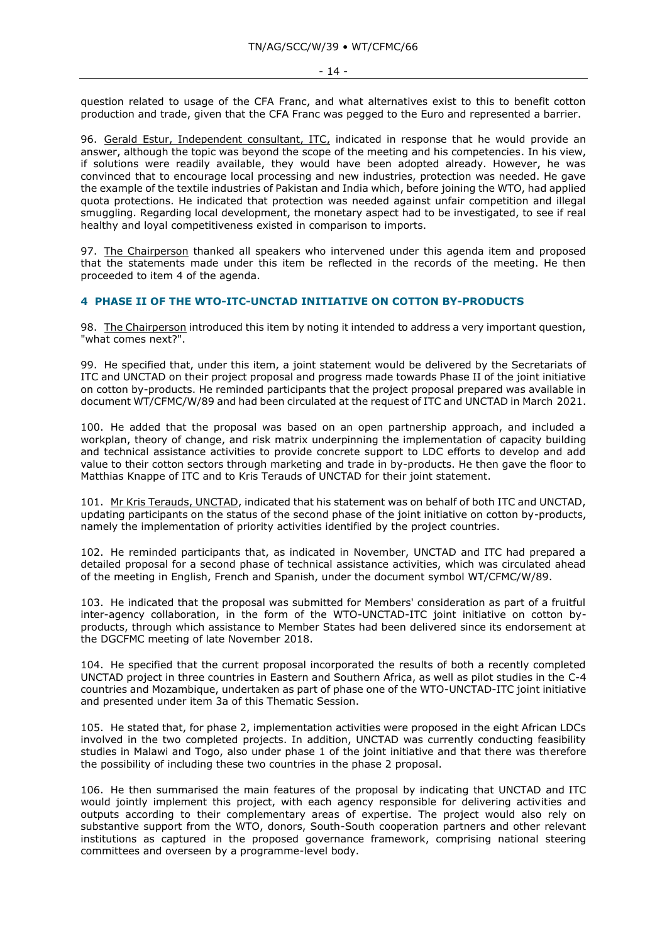question related to usage of the CFA Franc, and what alternatives exist to this to benefit cotton production and trade, given that the CFA Franc was pegged to the Euro and represented a barrier.

96. Gerald Estur, Independent consultant, ITC, indicated in response that he would provide an answer, although the topic was beyond the scope of the meeting and his competencies. In his view, if solutions were readily available, they would have been adopted already. However, he was convinced that to encourage local processing and new industries, protection was needed. He gave the example of the textile industries of Pakistan and India which, before joining the WTO, had applied quota protections. He indicated that protection was needed against unfair competition and illegal smuggling. Regarding local development, the monetary aspect had to be investigated, to see if real healthy and loyal competitiveness existed in comparison to imports.

97. The Chairperson thanked all speakers who intervened under this agenda item and proposed that the statements made under this item be reflected in the records of the meeting. He then proceeded to item 4 of the agenda.

# **4 PHASE II OF THE WTO-ITC-UNCTAD INITIATIVE ON COTTON BY-PRODUCTS**

98. The Chairperson introduced this item by noting it intended to address a very important question, "what comes next?".

99. He specified that, under this item, a joint statement would be delivered by the Secretariats of ITC and UNCTAD on their project proposal and progress made towards Phase II of the joint initiative on cotton by-products. He reminded participants that the project proposal prepared was available in document WT/CFMC/W/89 and had been circulated at the request of ITC and UNCTAD in March 2021.

100. He added that the proposal was based on an open partnership approach, and included a workplan, theory of change, and risk matrix underpinning the implementation of capacity building and technical assistance activities to provide concrete support to LDC efforts to develop and add value to their cotton sectors through marketing and trade in by-products. He then gave the floor to Matthias Knappe of ITC and to Kris Terauds of UNCTAD for their joint statement.

101. Mr Kris Terauds, UNCTAD, indicated that his statement was on behalf of both ITC and UNCTAD, updating participants on the status of the second phase of the joint initiative on cotton by-products, namely the implementation of priority activities identified by the project countries.

102. He reminded participants that, as indicated in November, UNCTAD and ITC had prepared a detailed proposal for a second phase of technical assistance activities, which was circulated ahead of the meeting in English, French and Spanish, under the document symbol WT/CFMC/W/89.

103. He indicated that the proposal was submitted for Members' consideration as part of a fruitful inter-agency collaboration, in the form of the WTO-UNCTAD-ITC joint initiative on cotton byproducts, through which assistance to Member States had been delivered since its endorsement at the DGCFMC meeting of late November 2018.

104. He specified that the current proposal incorporated the results of both a recently completed UNCTAD project in three countries in Eastern and Southern Africa, as well as pilot studies in the C-4 countries and Mozambique, undertaken as part of phase one of the WTO-UNCTAD-ITC joint initiative and presented under item 3a of this Thematic Session.

105. He stated that, for phase 2, implementation activities were proposed in the eight African LDCs involved in the two completed projects. In addition, UNCTAD was currently conducting feasibility studies in Malawi and Togo, also under phase 1 of the joint initiative and that there was therefore the possibility of including these two countries in the phase 2 proposal.

106. He then summarised the main features of the proposal by indicating that UNCTAD and ITC would jointly implement this project, with each agency responsible for delivering activities and outputs according to their complementary areas of expertise. The project would also rely on substantive support from the WTO, donors, South-South cooperation partners and other relevant institutions as captured in the proposed governance framework, comprising national steering committees and overseen by a programme-level body.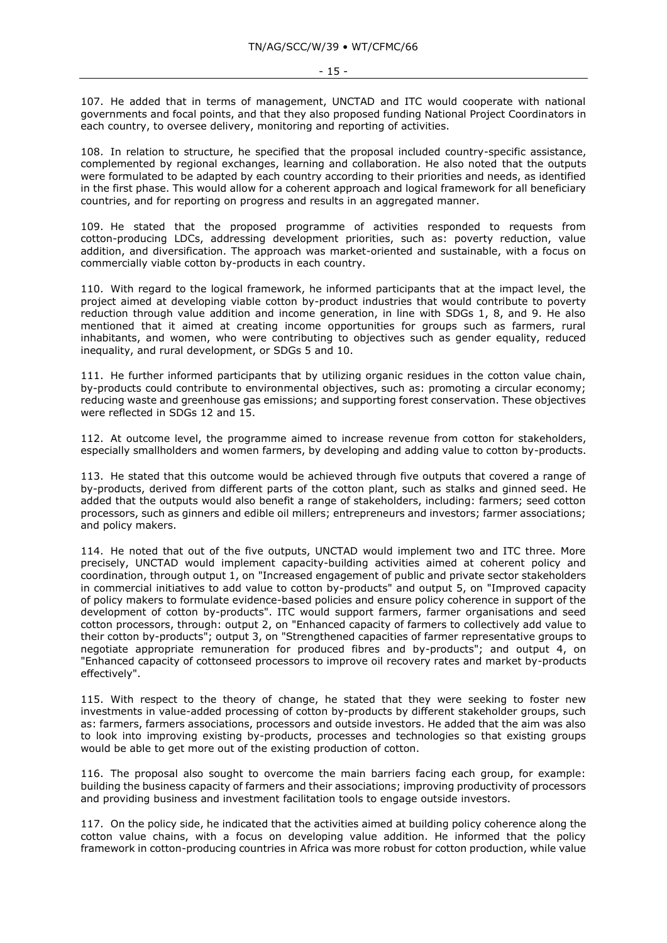107. He added that in terms of management, UNCTAD and ITC would cooperate with national governments and focal points, and that they also proposed funding National Project Coordinators in each country, to oversee delivery, monitoring and reporting of activities.

108. In relation to structure, he specified that the proposal included country-specific assistance, complemented by regional exchanges, learning and collaboration. He also noted that the outputs were formulated to be adapted by each country according to their priorities and needs, as identified in the first phase. This would allow for a coherent approach and logical framework for all beneficiary countries, and for reporting on progress and results in an aggregated manner.

109. He stated that the proposed programme of activities responded to requests from cotton-producing LDCs, addressing development priorities, such as: poverty reduction, value addition, and diversification. The approach was market-oriented and sustainable, with a focus on commercially viable cotton by-products in each country.

110. With regard to the logical framework, he informed participants that at the impact level, the project aimed at developing viable cotton by-product industries that would contribute to poverty reduction through value addition and income generation, in line with SDGs 1, 8, and 9. He also mentioned that it aimed at creating income opportunities for groups such as farmers, rural inhabitants, and women, who were contributing to objectives such as gender equality, reduced inequality, and rural development, or SDGs 5 and 10.

111. He further informed participants that by utilizing organic residues in the cotton value chain, by-products could contribute to environmental objectives, such as: promoting a circular economy; reducing waste and greenhouse gas emissions; and supporting forest conservation. These objectives were reflected in SDGs 12 and 15.

112. At outcome level, the programme aimed to increase revenue from cotton for stakeholders, especially smallholders and women farmers, by developing and adding value to cotton by-products.

113. He stated that this outcome would be achieved through five outputs that covered a range of by-products, derived from different parts of the cotton plant, such as stalks and ginned seed. He added that the outputs would also benefit a range of stakeholders, including: farmers; seed cotton processors, such as ginners and edible oil millers; entrepreneurs and investors; farmer associations; and policy makers.

114. He noted that out of the five outputs, UNCTAD would implement two and ITC three. More precisely, UNCTAD would implement capacity-building activities aimed at coherent policy and coordination, through output 1, on "Increased engagement of public and private sector stakeholders in commercial initiatives to add value to cotton by-products" and output 5, on "Improved capacity of policy makers to formulate evidence-based policies and ensure policy coherence in support of the development of cotton by-products". ITC would support farmers, farmer organisations and seed cotton processors, through: output 2, on "Enhanced capacity of farmers to collectively add value to their cotton by-products"; output 3, on "Strengthened capacities of farmer representative groups to negotiate appropriate remuneration for produced fibres and by-products"; and output 4, on "Enhanced capacity of cottonseed processors to improve oil recovery rates and market by-products effectively".

115. With respect to the theory of change, he stated that they were seeking to foster new investments in value-added processing of cotton by-products by different stakeholder groups, such as: farmers, farmers associations, processors and outside investors. He added that the aim was also to look into improving existing by-products, processes and technologies so that existing groups would be able to get more out of the existing production of cotton.

116. The proposal also sought to overcome the main barriers facing each group, for example: building the business capacity of farmers and their associations; improving productivity of processors and providing business and investment facilitation tools to engage outside investors.

117. On the policy side, he indicated that the activities aimed at building policy coherence along the cotton value chains, with a focus on developing value addition. He informed that the policy framework in cotton-producing countries in Africa was more robust for cotton production, while value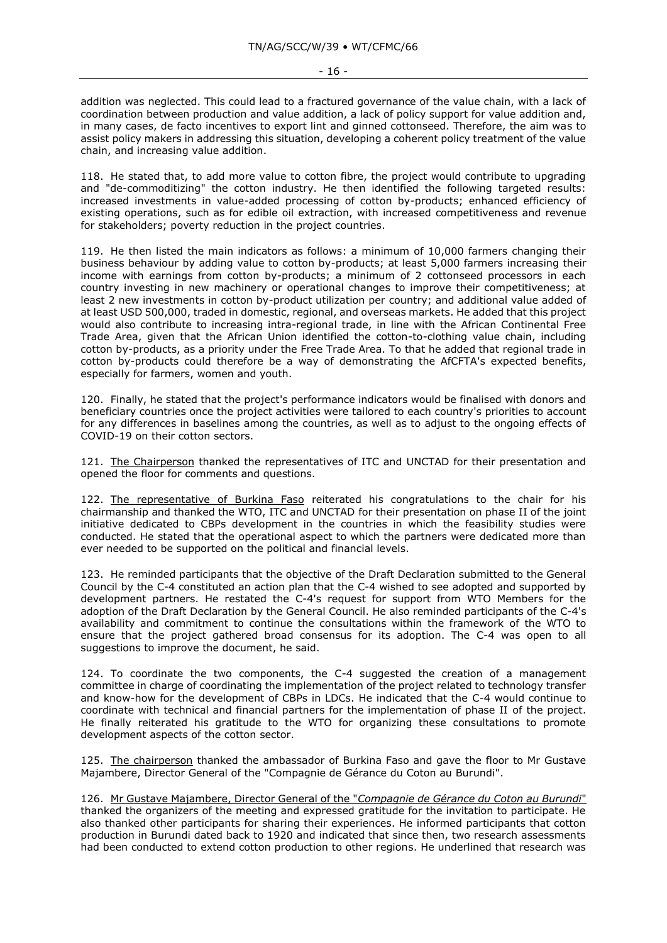addition was neglected. This could lead to a fractured governance of the value chain, with a lack of coordination between production and value addition, a lack of policy support for value addition and, in many cases, de facto incentives to export lint and ginned cottonseed. Therefore, the aim was to assist policy makers in addressing this situation, developing a coherent policy treatment of the value chain, and increasing value addition.

118. He stated that, to add more value to cotton fibre, the project would contribute to upgrading and "de-commoditizing" the cotton industry. He then identified the following targeted results: increased investments in value-added processing of cotton by-products; enhanced efficiency of existing operations, such as for edible oil extraction, with increased competitiveness and revenue for stakeholders; poverty reduction in the project countries.

119. He then listed the main indicators as follows: a minimum of 10,000 farmers changing their business behaviour by adding value to cotton by-products; at least 5,000 farmers increasing their income with earnings from cotton by-products; a minimum of 2 cottonseed processors in each country investing in new machinery or operational changes to improve their competitiveness; at least 2 new investments in cotton by-product utilization per country; and additional value added of at least USD 500,000, traded in domestic, regional, and overseas markets. He added that this project would also contribute to increasing intra-regional trade, in line with the African Continental Free Trade Area, given that the African Union identified the cotton-to-clothing value chain, including cotton by-products, as a priority under the Free Trade Area. To that he added that regional trade in cotton by-products could therefore be a way of demonstrating the AfCFTA's expected benefits, especially for farmers, women and youth.

120. Finally, he stated that the project's performance indicators would be finalised with donors and beneficiary countries once the project activities were tailored to each country's priorities to account for any differences in baselines among the countries, as well as to adjust to the ongoing effects of COVID-19 on their cotton sectors.

121. The Chairperson thanked the representatives of ITC and UNCTAD for their presentation and opened the floor for comments and questions.

122. The representative of Burkina Faso reiterated his congratulations to the chair for his chairmanship and thanked the WTO, ITC and UNCTAD for their presentation on phase II of the joint initiative dedicated to CBPs development in the countries in which the feasibility studies were conducted. He stated that the operational aspect to which the partners were dedicated more than ever needed to be supported on the political and financial levels.

123. He reminded participants that the objective of the Draft Declaration submitted to the General Council by the C-4 constituted an action plan that the C-4 wished to see adopted and supported by development partners. He restated the C-4's request for support from WTO Members for the adoption of the Draft Declaration by the General Council. He also reminded participants of the C-4's availability and commitment to continue the consultations within the framework of the WTO to ensure that the project gathered broad consensus for its adoption. The C-4 was open to all suggestions to improve the document, he said.

124. To coordinate the two components, the C-4 suggested the creation of a management committee in charge of coordinating the implementation of the project related to technology transfer and know-how for the development of CBPs in LDCs. He indicated that the C-4 would continue to coordinate with technical and financial partners for the implementation of phase II of the project. He finally reiterated his gratitude to the WTO for organizing these consultations to promote development aspects of the cotton sector.

125. The chairperson thanked the ambassador of Burkina Faso and gave the floor to Mr Gustave Majambere, Director General of the "Compagnie de Gérance du Coton au Burundi".

126. Mr Gustave Majambere, Director General of the "*Compagnie de Gérance du Coton au Burundi*" thanked the organizers of the meeting and expressed gratitude for the invitation to participate. He also thanked other participants for sharing their experiences. He informed participants that cotton production in Burundi dated back to 1920 and indicated that since then, two research assessments had been conducted to extend cotton production to other regions. He underlined that research was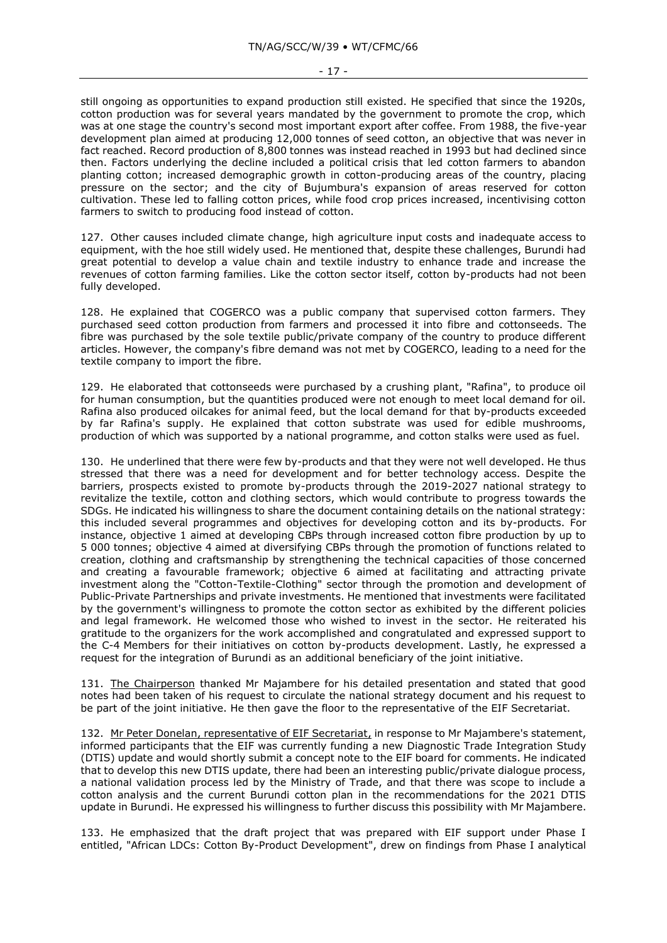still ongoing as opportunities to expand production still existed. He specified that since the 1920s, cotton production was for several years mandated by the government to promote the crop, which was at one stage the country's second most important export after coffee. From 1988, the five-year development plan aimed at producing 12,000 tonnes of seed cotton, an objective that was never in fact reached. Record production of 8,800 tonnes was instead reached in 1993 but had declined since then. Factors underlying the decline included a political crisis that led cotton farmers to abandon planting cotton; increased demographic growth in cotton-producing areas of the country, placing pressure on the sector; and the city of Bujumbura's expansion of areas reserved for cotton cultivation. These led to falling cotton prices, while food crop prices increased, incentivising cotton farmers to switch to producing food instead of cotton.

127. Other causes included climate change, high agriculture input costs and inadequate access to equipment, with the hoe still widely used. He mentioned that, despite these challenges, Burundi had great potential to develop a value chain and textile industry to enhance trade and increase the revenues of cotton farming families. Like the cotton sector itself, cotton by-products had not been fully developed.

128. He explained that COGERCO was a public company that supervised cotton farmers. They purchased seed cotton production from farmers and processed it into fibre and cottonseeds. The fibre was purchased by the sole textile public/private company of the country to produce different articles. However, the company's fibre demand was not met by COGERCO, leading to a need for the textile company to import the fibre.

129. He elaborated that cottonseeds were purchased by a crushing plant, "Rafina", to produce oil for human consumption, but the quantities produced were not enough to meet local demand for oil. Rafina also produced oilcakes for animal feed, but the local demand for that by-products exceeded by far Rafina's supply. He explained that cotton substrate was used for edible mushrooms, production of which was supported by a national programme, and cotton stalks were used as fuel.

130. He underlined that there were few by-products and that they were not well developed. He thus stressed that there was a need for development and for better technology access. Despite the barriers, prospects existed to promote by-products through the 2019-2027 national strategy to revitalize the textile, cotton and clothing sectors, which would contribute to progress towards the SDGs. He indicated his willingness to share the document containing details on the national strategy: this included several programmes and objectives for developing cotton and its by-products. For instance, objective 1 aimed at developing CBPs through increased cotton fibre production by up to 5 000 tonnes; objective 4 aimed at diversifying CBPs through the promotion of functions related to creation, clothing and craftsmanship by strengthening the technical capacities of those concerned and creating a favourable framework; objective 6 aimed at facilitating and attracting private investment along the "Cotton-Textile-Clothing" sector through the promotion and development of Public-Private Partnerships and private investments. He mentioned that investments were facilitated by the government's willingness to promote the cotton sector as exhibited by the different policies and legal framework. He welcomed those who wished to invest in the sector. He reiterated his gratitude to the organizers for the work accomplished and congratulated and expressed support to the C-4 Members for their initiatives on cotton by-products development. Lastly, he expressed a request for the integration of Burundi as an additional beneficiary of the joint initiative.

131. The Chairperson thanked Mr Majambere for his detailed presentation and stated that good notes had been taken of his request to circulate the national strategy document and his request to be part of the joint initiative. He then gave the floor to the representative of the EIF Secretariat.

132. Mr Peter Donelan, representative of EIF Secretariat, in response to Mr Majambere's statement, informed participants that the EIF was currently funding a new Diagnostic Trade Integration Study (DTIS) update and would shortly submit a concept note to the EIF board for comments. He indicated that to develop this new DTIS update, there had been an interesting public/private dialogue process, a national validation process led by the Ministry of Trade, and that there was scope to include a cotton analysis and the current Burundi cotton plan in the recommendations for the 2021 DTIS update in Burundi. He expressed his willingness to further discuss this possibility with Mr Majambere.

133. He emphasized that the draft project that was prepared with EIF support under Phase I entitled, "African LDCs: Cotton By-Product Development", drew on findings from Phase I analytical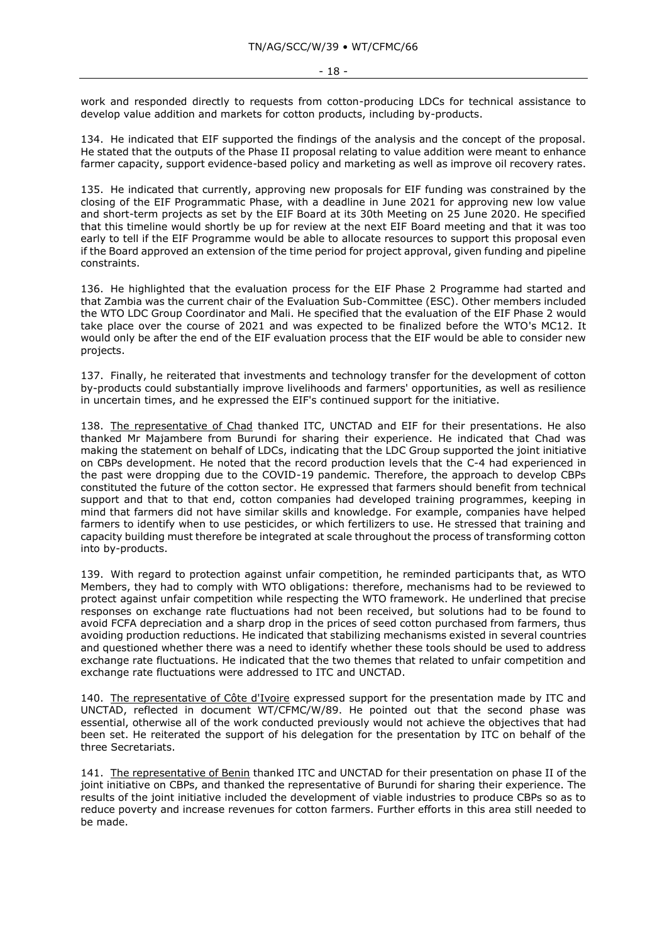work and responded directly to requests from cotton-producing LDCs for technical assistance to develop value addition and markets for cotton products, including by-products.

134. He indicated that EIF supported the findings of the analysis and the concept of the proposal. He stated that the outputs of the Phase II proposal relating to value addition were meant to enhance farmer capacity, support evidence-based policy and marketing as well as improve oil recovery rates.

135. He indicated that currently, approving new proposals for EIF funding was constrained by the closing of the EIF Programmatic Phase, with a deadline in June 2021 for approving new low value and short-term projects as set by the EIF Board at its 30th Meeting on 25 June 2020. He specified that this timeline would shortly be up for review at the next EIF Board meeting and that it was too early to tell if the EIF Programme would be able to allocate resources to support this proposal even if the Board approved an extension of the time period for project approval, given funding and pipeline constraints.

136. He highlighted that the evaluation process for the EIF Phase 2 Programme had started and that Zambia was the current chair of the Evaluation Sub-Committee (ESC). Other members included the WTO LDC Group Coordinator and Mali. He specified that the evaluation of the EIF Phase 2 would take place over the course of 2021 and was expected to be finalized before the WTO's MC12. It would only be after the end of the EIF evaluation process that the EIF would be able to consider new projects.

137. Finally, he reiterated that investments and technology transfer for the development of cotton by-products could substantially improve livelihoods and farmers' opportunities, as well as resilience in uncertain times, and he expressed the EIF's continued support for the initiative.

138. The representative of Chad thanked ITC, UNCTAD and EIF for their presentations. He also thanked Mr Majambere from Burundi for sharing their experience. He indicated that Chad was making the statement on behalf of LDCs, indicating that the LDC Group supported the joint initiative on CBPs development. He noted that the record production levels that the C-4 had experienced in the past were dropping due to the COVID-19 pandemic. Therefore, the approach to develop CBPs constituted the future of the cotton sector. He expressed that farmers should benefit from technical support and that to that end, cotton companies had developed training programmes, keeping in mind that farmers did not have similar skills and knowledge. For example, companies have helped farmers to identify when to use pesticides, or which fertilizers to use. He stressed that training and capacity building must therefore be integrated at scale throughout the process of transforming cotton into by-products.

139. With regard to protection against unfair competition, he reminded participants that, as WTO Members, they had to comply with WTO obligations: therefore, mechanisms had to be reviewed to protect against unfair competition while respecting the WTO framework. He underlined that precise responses on exchange rate fluctuations had not been received, but solutions had to be found to avoid FCFA depreciation and a sharp drop in the prices of seed cotton purchased from farmers, thus avoiding production reductions. He indicated that stabilizing mechanisms existed in several countries and questioned whether there was a need to identify whether these tools should be used to address exchange rate fluctuations. He indicated that the two themes that related to unfair competition and exchange rate fluctuations were addressed to ITC and UNCTAD.

140. The representative of Côte d'Ivoire expressed support for the presentation made by ITC and UNCTAD, reflected in document WT/CFMC/W/89. He pointed out that the second phase was essential, otherwise all of the work conducted previously would not achieve the objectives that had been set. He reiterated the support of his delegation for the presentation by ITC on behalf of the three Secretariats.

141. The representative of Benin thanked ITC and UNCTAD for their presentation on phase II of the joint initiative on CBPs, and thanked the representative of Burundi for sharing their experience. The results of the joint initiative included the development of viable industries to produce CBPs so as to reduce poverty and increase revenues for cotton farmers. Further efforts in this area still needed to be made.